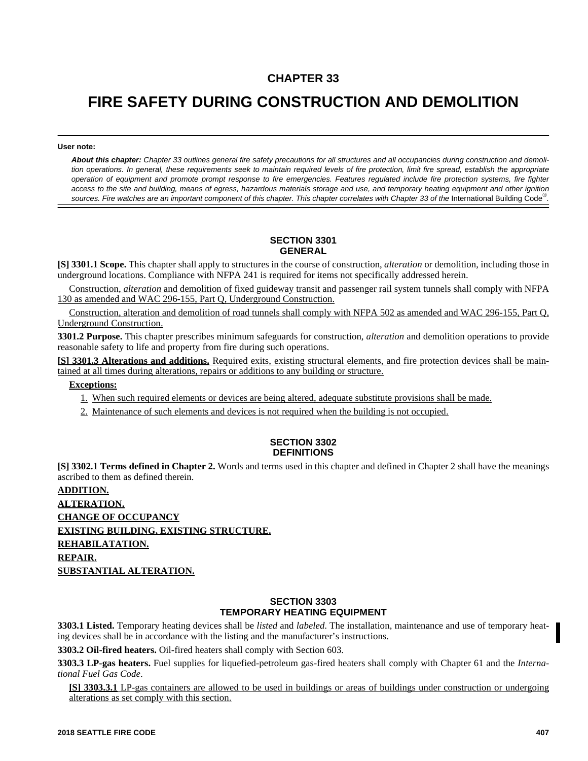## **CHAPTER 33**

# **FIRE SAFETY DURING CONSTRUCTION AND DEMOLITION**

**User note:**

*About this chapter: Chapter 33 outlines general fire safety precautions for all structures and all occupancies during construction and demolition operations. In general, these requirements seek to maintain required levels of fire protection, limit fire spread, establish the appropriate operation of equipment and promote prompt response to fire emergencies. Features regulated include fire protection systems, fire fighter access to the site and building, means of egress, hazardous materials storage and use, and temporary heating equipment and other ignition* sources. Fire watches are an important component of this chapter. This chapter correlates with Chapter 33 of the International Building Code<sup>®</sup>.

#### **SECTION 3301 GENERAL**

**[S] 3301.1 Scope.** This chapter shall apply to structures in the course of construction, *alteration* or demolition, including those in underground locations. Compliance with NFPA 241 is required for items not specifically addressed herein.

Construction, *alteration* and demolition of fixed guideway transit and passenger rail system tunnels shall comply with NFPA 130 as amended and WAC 296-155, Part Q, Underground Construction.

Construction, alteration and demolition of road tunnels shall comply with NFPA 502 as amended and WAC 296-155, Part Q, Underground Construction.

**3301.2 Purpose.** This chapter prescribes minimum safeguards for construction, *alteration* and demolition operations to provide reasonable safety to life and property from fire during such operations.

**[S] 3301.3 Alterations and additions.** Required exits, existing structural elements, and fire protection devices shall be maintained at all times during alterations, repairs or additions to any building or structure.

**Exceptions:**

- 1. When such required elements or devices are being altered, adequate substitute provisions shall be made.
- 2. Maintenance of such elements and devices is not required when the building is not occupied.

#### **SECTION 3302 DEFINITIONS**

**[S] 3302.1 Terms defined in Chapter 2.** Words and terms used in this chapter and defined in Chapter 2 shall have the meanings ascribed to them as defined therein.

**ADDITION. ALTERATION. CHANGE OF OCCUPANCY EXISTING BUILDING, EXISTING STRUCTURE. REHABILATATION. REPAIR. SUBSTANTIAL ALTERATION.**

#### **SECTION 3303 TEMPORARY HEATING EQUIPMENT**

**3303.1 Listed.** Temporary heating devices shall be *listed* and *labeled*. The installation, maintenance and use of temporary heating devices shall be in accordance with the listing and the manufacturer's instructions.

**3303.2 Oil-fired heaters.** Oil-fired heaters shall comply with Section 603.

**3303.3 LP-gas heaters.** Fuel supplies for liquefied-petroleum gas-fired heaters shall comply with Chapter 61 and the *International Fuel Gas Code*.

**[S] 3303.3.1** LP-gas containers are allowed to be used in buildings or areas of buildings under construction or undergoing alterations as set comply with this section.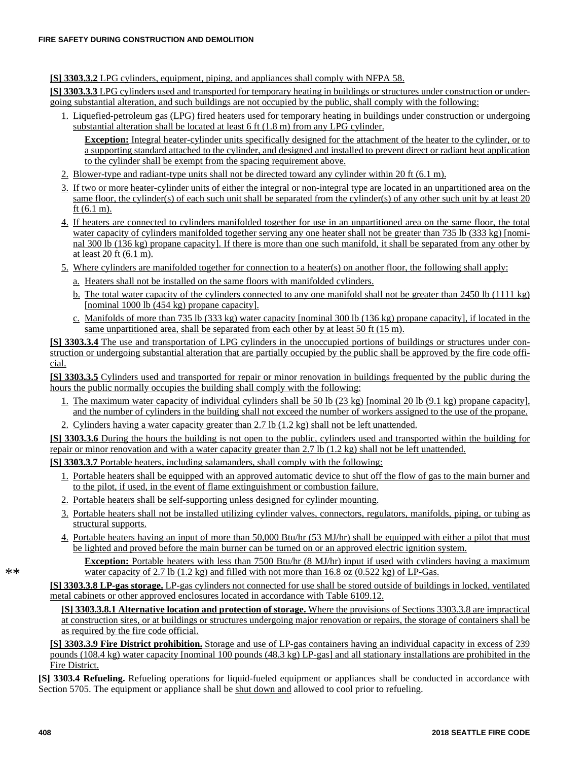**[S] 3303.3.2** LPG cylinders, equipment, piping, and appliances shall comply with NFPA 58.

**[S] 3303.3.3** LPG cylinders used and transported for temporary heating in buildings or structures under construction or undergoing substantial alteration, and such buildings are not occupied by the public, shall comply with the following:

1. Liquefied-petroleum gas (LPG) fired heaters used for temporary heating in buildings under construction or undergoing substantial alteration shall be located at least 6 ft (1.8 m) from any LPG cylinder.

**Exception:** Integral heater-cylinder units specifically designed for the attachment of the heater to the cylinder, or to a supporting standard attached to the cylinder, and designed and installed to prevent direct or radiant heat application to the cylinder shall be exempt from the spacing requirement above.

- 2. Blower-type and radiant-type units shall not be directed toward any cylinder within 20 ft (6.1 m).
- 3. If two or more heater-cylinder units of either the integral or non-integral type are located in an unpartitioned area on the same floor, the cylinder(s) of each such unit shall be separated from the cylinder(s) of any other such unit by at least 20 ft (6.1 m).
- 4. If heaters are connected to cylinders manifolded together for use in an unpartitioned area on the same floor, the total water capacity of cylinders manifolded together serving any one heater shall not be greater than 735 lb (333 kg) [nominal 300 lb (136 kg) propane capacity]. If there is more than one such manifold, it shall be separated from any other by at least 20 ft (6.1 m).
- 5. Where cylinders are manifolded together for connection to a heater(s) on another floor, the following shall apply:
	- a. Heaters shall not be installed on the same floors with manifolded cylinders.
	- b. The total water capacity of the cylinders connected to any one manifold shall not be greater than 2450 lb (1111 kg) [nominal 1000 lb (454 kg) propane capacity].
	- c. Manifolds of more than 735 lb (333 kg) water capacity [nominal 300 lb (136 kg) propane capacity], if located in the same unpartitioned area, shall be separated from each other by at least 50 ft (15 m).

**[S] 3303.3.4** The use and transportation of LPG cylinders in the unoccupied portions of buildings or structures under construction or undergoing substantial alteration that are partially occupied by the public shall be approved by the fire code official.

**[S] 3303.3.5** Cylinders used and transported for repair or minor renovation in buildings frequented by the public during the hours the public normally occupies the building shall comply with the following:

- 1. The maximum water capacity of individual cylinders shall be 50 lb (23 kg) [nominal 20 lb (9.1 kg) propane capacity], and the number of cylinders in the building shall not exceed the number of workers assigned to the use of the propane.
- 2. Cylinders having a water capacity greater than 2.7 lb (1.2 kg) shall not be left unattended.

**[S] 3303.3.6** During the hours the building is not open to the public, cylinders used and transported within the building for repair or minor renovation and with a water capacity greater than 2.7 lb (1.2 kg) shall not be left unattended.

**[S] 3303.3.7** Portable heaters, including salamanders, shall comply with the following:

- 1. Portable heaters shall be equipped with an approved automatic device to shut off the flow of gas to the main burner and to the pilot, if used, in the event of flame extinguishment or combustion failure.
- 2. Portable heaters shall be self-supporting unless designed for cylinder mounting.
- 3. Portable heaters shall not be installed utilizing cylinder valves, connectors, regulators, manifolds, piping, or tubing as structural supports.
- 4. Portable heaters having an input of more than 50,000 Btu/hr (53 MJ/hr) shall be equipped with either a pilot that must be lighted and proved before the main burner can be turned on or an approved electric ignition system.

**Exception:** Portable heaters with less than 7500 Btu/hr (8 MJ/hr) input if used with cylinders having a maximum water capacity of 2.7 lb  $(1.2 \text{ kg})$  and filled with not more than 16.8 oz  $(0.522 \text{ kg})$  of LP-Gas.

**[S] 3303.3.8 LP-gas storage.** LP-gas cylinders not connected for use shall be stored outside of buildings in locked, ventilated metal cabinets or other approved enclosures located in accordance with Table 6109.12.

**[S] 3303.3.8.1 Alternative location and protection of storage.** Where the provisions of Sections 3303.3.8 are impractical at construction sites, or at buildings or structures undergoing major renovation or repairs, the storage of containers shall be as required by the fire code official.

**[S] 3303.3.9 Fire District prohibition.** Storage and use of LP-gas containers having an individual capacity in excess of 239 pounds (108.4 kg) water capacity [nominal 100 pounds (48.3 kg) LP-gas] and all stationary installations are prohibited in the Fire District.

**[S] 3303.4 Refueling.** Refueling operations for liquid-fueled equipment or appliances shall be conducted in accordance with Section 5705. The equipment or appliance shall be shut down and allowed to cool prior to refueling.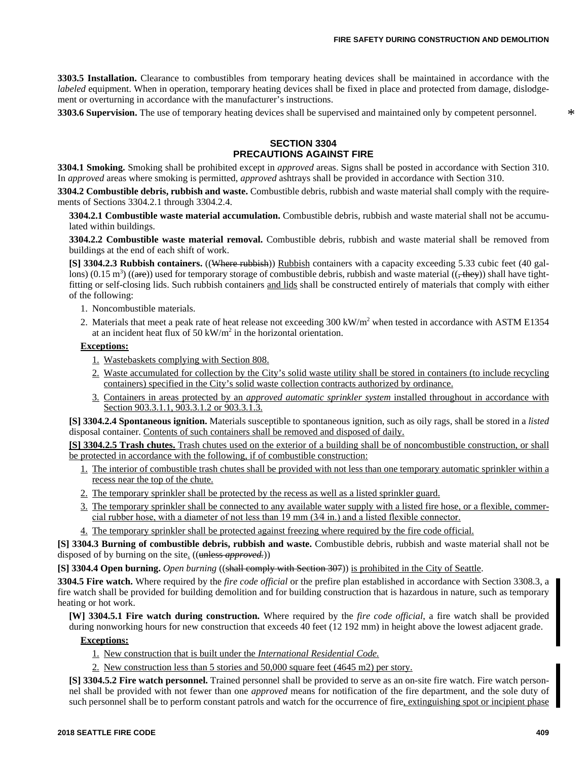**3303.5 Installation.** Clearance to combustibles from temporary heating devices shall be maintained in accordance with the *labeled* equipment. When in operation, temporary heating devices shall be fixed in place and protected from damage, dislodgement or overturning in accordance with the manufacturer's instructions.

**3303.6 Supervision.** The use of temporary heating devices shall be supervised and maintained only by competent personnel.

#### **SECTION 3304 PRECAUTIONS AGAINST FIRE**

**3304.1 Smoking.** Smoking shall be prohibited except in *approved* areas. Signs shall be posted in accordance with Section 310. In *approved* areas where smoking is permitted, *approved* ashtrays shall be provided in accordance with Section 310.

**3304.2 Combustible debris, rubbish and waste.** Combustible debris, rubbish and waste material shall comply with the requirements of Sections 3304.2.1 through 3304.2.4.

**3304.2.1 Combustible waste material accumulation.** Combustible debris, rubbish and waste material shall not be accumulated within buildings.

**3304.2.2 Combustible waste material removal.** Combustible debris, rubbish and waste material shall be removed from buildings at the end of each shift of work.

**[S] 3304.2.3 Rubbish containers.** ((Where rubbish)) Rubbish containers with a capacity exceeding 5.33 cubic feet (40 gallons)  $(0.15 \text{ m}^3)$  (( $\text{are}$ )) used for temporary storage of combustible debris, rubbish and waste material (( $\text{they}$ )) shall have tightfitting or self-closing lids. Such rubbish containers and lids shall be constructed entirely of materials that comply with either of the following:

- 1. Noncombustible materials.
- 2. Materials that meet a peak rate of heat release not exceeding 300 kW/m<sup>2</sup> when tested in accordance with ASTM E1354 at an incident heat flux of  $50 \text{ kW/m}^2$  in the horizontal orientation.

#### **Exceptions:**

- 1. Wastebaskets complying with Section 808.
- 2. Waste accumulated for collection by the City's solid waste utility shall be stored in containers (to include recycling containers) specified in the City's solid waste collection contracts authorized by ordinance.
- 3. Containers in areas protected by an *approved automatic sprinkler system* installed throughout in accordance with Section 903.3.1.1, 903.3.1.2 or 903.3.1.3.

**[S] 3304.2.4 Spontaneous ignition.** Materials susceptible to spontaneous ignition, such as oily rags, shall be stored in a *listed* disposal container. Contents of such containers shall be removed and disposed of daily.

**[S] 3304.2.5 Trash chutes.** Trash chutes used on the exterior of a building shall be of noncombustible construction, or shall be protected in accordance with the following, if of combustible construction:

- 1. The interior of combustible trash chutes shall be provided with not less than one temporary automatic sprinkler within a recess near the top of the chute.
- 2. The temporary sprinkler shall be protected by the recess as well as a listed sprinkler guard.
- 3. The temporary sprinkler shall be connected to any available water supply with a listed fire hose, or a flexible, commercial rubber hose, with a diameter of not less than 19 mm (3⁄4 in.) and a listed flexible connector.
- 4. The temporary sprinkler shall be protected against freezing where required by the fire code official.

**[S] 3304.3 Burning of combustible debris, rubbish and waste.** Combustible debris, rubbish and waste material shall not be disposed of by burning on the site. ((unless *approved.*))

**[S] 3304.4 Open burning.** *Open burning* ((shall comply with Section 307)) is prohibited in the City of Seattle.

**3304.5 Fire watch.** Where required by the *fire code official* or the prefire plan established in accordance with Section 3308.3, a fire watch shall be provided for building demolition and for building construction that is hazardous in nature, such as temporary heating or hot work.

**[W] 3304.5.1 Fire watch during construction.** Where required by the *fire code official*, a fire watch shall be provided during nonworking hours for new construction that exceeds 40 feet (12 192 mm) in height above the lowest adjacent grade.

#### **Exceptions:**

- 1. New construction that is built under the *International Residential Code.*
- 2. New construction less than 5 stories and 50,000 square feet (4645 m2) per story.

**[S] 3304.5.2 Fire watch personnel.** Trained personnel shall be provided to serve as an on-site fire watch. Fire watch personnel shall be provided with not fewer than one *approved* means for notification of the fire department, and the sole duty of such personnel shall be to perform constant patrols and watch for the occurrence of fire, extinguishing spot or incipient phase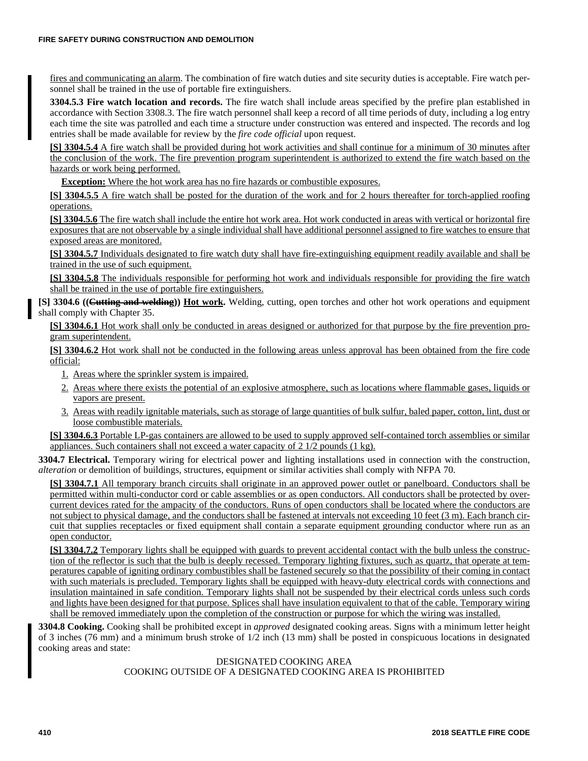fires and communicating an alarm. The combination of fire watch duties and site security duties is acceptable. Fire watch personnel shall be trained in the use of portable fire extinguishers.

**3304.5.3 Fire watch location and records.** The fire watch shall include areas specified by the prefire plan established in accordance with Section 3308.3. The fire watch personnel shall keep a record of all time periods of duty, including a log entry each time the site was patrolled and each time a structure under construction was entered and inspected. The records and log entries shall be made available for review by the *fire code official* upon request.

**[S] 3304.5.4** A fire watch shall be provided during hot work activities and shall continue for a minimum of 30 minutes after the conclusion of the work. The fire prevention program superintendent is authorized to extend the fire watch based on the hazards or work being performed.

**Exception:** Where the hot work area has no fire hazards or combustible exposures.

**[S] 3304.5.5** A fire watch shall be posted for the duration of the work and for 2 hours thereafter for torch-applied roofing operations.

**[S] 3304.5.6** The fire watch shall include the entire hot work area. Hot work conducted in areas with vertical or horizontal fire exposures that are not observable by a single individual shall have additional personnel assigned to fire watches to ensure that exposed areas are monitored.

**[S] 3304.5.7** Individuals designated to fire watch duty shall have fire-extinguishing equipment readily available and shall be trained in the use of such equipment.

**[S] 3304.5.8** The individuals responsible for performing hot work and individuals responsible for providing the fire watch shall be trained in the use of portable fire extinguishers.

**[S] 3304.6 ((Cutting and welding)) Hot work.** Welding, cutting, open torches and other hot work operations and equipment shall comply with Chapter 35.

**[S] 3304.6.1** Hot work shall only be conducted in areas designed or authorized for that purpose by the fire prevention program superintendent.

**[S] 3304.6.2** Hot work shall not be conducted in the following areas unless approval has been obtained from the fire code official:

- 1. Areas where the sprinkler system is impaired.
- 2. Areas where there exists the potential of an explosive atmosphere, such as locations where flammable gases, liquids or vapors are present.
- 3. Areas with readily ignitable materials, such as storage of large quantities of bulk sulfur, baled paper, cotton, lint, dust or loose combustible materials.

**[S] 3304.6.3** Portable LP-gas containers are allowed to be used to supply approved self-contained torch assemblies or similar appliances. Such containers shall not exceed a water capacity of 2 1/2 pounds (1 kg).

**3304.7 Electrical.** Temporary wiring for electrical power and lighting installations used in connection with the construction, *alteration* or demolition of buildings, structures, equipment or similar activities shall comply with NFPA 70.

**[S] 3304.7.1** All temporary branch circuits shall originate in an approved power outlet or panelboard. Conductors shall be permitted within multi-conductor cord or cable assemblies or as open conductors. All conductors shall be protected by overcurrent devices rated for the ampacity of the conductors. Runs of open conductors shall be located where the conductors are not subject to physical damage, and the conductors shall be fastened at intervals not exceeding 10 feet (3 m). Each branch circuit that supplies receptacles or fixed equipment shall contain a separate equipment grounding conductor where run as an open conductor.

**[S] 3304.7.2** Temporary lights shall be equipped with guards to prevent accidental contact with the bulb unless the construction of the reflector is such that the bulb is deeply recessed. Temporary lighting fixtures, such as quartz, that operate at temperatures capable of igniting ordinary combustibles shall be fastened securely so that the possibility of their coming in contact with such materials is precluded. Temporary lights shall be equipped with heavy-duty electrical cords with connections and insulation maintained in safe condition. Temporary lights shall not be suspended by their electrical cords unless such cords and lights have been designed for that purpose. Splices shall have insulation equivalent to that of the cable. Temporary wiring shall be removed immediately upon the completion of the construction or purpose for which the wiring was installed.

**3304.8 Cooking.** Cooking shall be prohibited except in *approved* designated cooking areas. Signs with a minimum letter height of 3 inches (76 mm) and a minimum brush stroke of 1/2 inch (13 mm) shall be posted in conspicuous locations in designated cooking areas and state:

#### DESIGNATED COOKING AREA COOKING OUTSIDE OF A DESIGNATED COOKING AREA IS PROHIBITED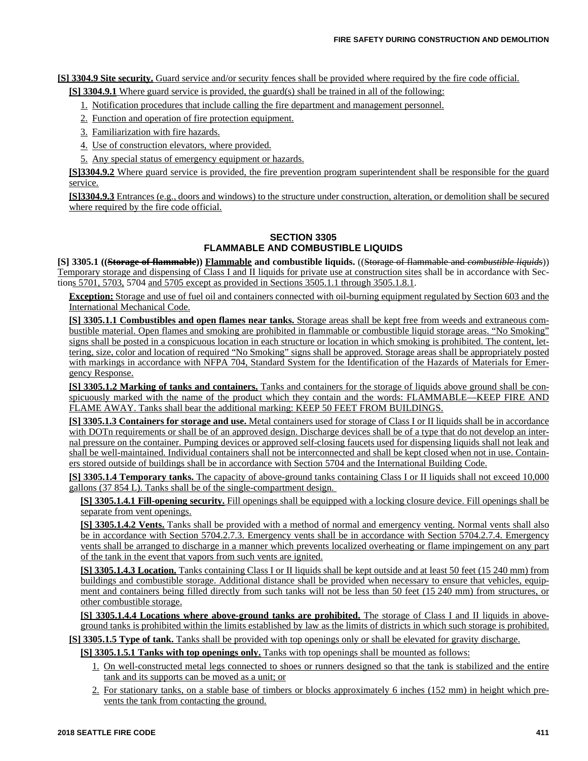**[S] 3304.9 Site security.** Guard service and/or security fences shall be provided where required by the fire code official.

**[S] 3304.9.1** Where guard service is provided, the guard(s) shall be trained in all of the following:

- 1. Notification procedures that include calling the fire department and management personnel.
- 2. Function and operation of fire protection equipment.
- 3. Familiarization with fire hazards.
- 4. Use of construction elevators, where provided.
- 5. Any special status of emergency equipment or hazards.

**[S]3304.9.2** Where guard service is provided, the fire prevention program superintendent shall be responsible for the guard service.

**[S]3304.9.3** Entrances (e.g., doors and windows) to the structure under construction, alteration, or demolition shall be secured where required by the fire code official.

## **SECTION 3305 FLAMMABLE AND COMBUSTIBLE LIQUIDS**

**[S] 3305.1 ((Storage of flammable)) Flammable and combustible liquids.** ((Storage of flammable and *combustible liquids*)) Temporary storage and dispensing of Class I and II liquids for private use at construction sites shall be in accordance with Sections 5701, 5703, 5704 and 5705 except as provided in Sections 3505.1.1 through 3505.1.8.1.

**Exception:** Storage and use of fuel oil and containers connected with oil-burning equipment regulated by Section 603 and the International Mechanical Code.

**[S] 3305.1.1 Combustibles and open flames near tanks.** Storage areas shall be kept free from weeds and extraneous combustible material. Open flames and smoking are prohibited in flammable or combustible liquid storage areas. "No Smoking" signs shall be posted in a conspicuous location in each structure or location in which smoking is prohibited. The content, lettering, size, color and location of required "No Smoking" signs shall be approved. Storage areas shall be appropriately posted with markings in accordance with NFPA 704, Standard System for the Identification of the Hazards of Materials for Emergency Response.

**[S] 3305.1.2 Marking of tanks and containers.** Tanks and containers for the storage of liquids above ground shall be conspicuously marked with the name of the product which they contain and the words: FLAMMABLE—KEEP FIRE AND FLAME AWAY. Tanks shall bear the additional marking: KEEP 50 FEET FROM BUILDINGS.

**[S] 3305.1.3 Containers for storage and use.** Metal containers used for storage of Class I or II liquids shall be in accordance with DOTn requirements or shall be of an approved design. Discharge devices shall be of a type that do not develop an internal pressure on the container. Pumping devices or approved self-closing faucets used for dispensing liquids shall not leak and shall be well-maintained. Individual containers shall not be interconnected and shall be kept closed when not in use. Containers stored outside of buildings shall be in accordance with Section 5704 and the International Building Code.

**[S] 3305.1.4 Temporary tanks.** The capacity of above-ground tanks containing Class I or II liquids shall not exceed 10,000 gallons (37 854 L). Tanks shall be of the single-compartment design.

**[S] 3305.1.4.1 Fill-opening security.** Fill openings shall be equipped with a locking closure device. Fill openings shall be separate from vent openings.

**[S] 3305.1.4.2 Vents.** Tanks shall be provided with a method of normal and emergency venting. Normal vents shall also be in accordance with Section 5704.2.7.3. Emergency vents shall be in accordance with Section 5704.2.7.4. Emergency vents shall be arranged to discharge in a manner which prevents localized overheating or flame impingement on any part of the tank in the event that vapors from such vents are ignited.

**[S] 3305.1.4.3 Location.** Tanks containing Class I or II liquids shall be kept outside and at least 50 feet (15 240 mm) from buildings and combustible storage. Additional distance shall be provided when necessary to ensure that vehicles, equipment and containers being filled directly from such tanks will not be less than 50 feet (15 240 mm) from structures, or other combustible storage.

**[S] 3305.1.4.4 Locations where above-ground tanks are prohibited.** The storage of Class I and II liquids in aboveground tanks is prohibited within the limits established by law as the limits of districts in which such storage is prohibited.

**[S] 3305.1.5 Type of tank.** Tanks shall be provided with top openings only or shall be elevated for gravity discharge.

**[S] 3305.1.5.1 Tanks with top openings only.** Tanks with top openings shall be mounted as follows:

- 1. On well-constructed metal legs connected to shoes or runners designed so that the tank is stabilized and the entire tank and its supports can be moved as a unit; or
- 2. For stationary tanks, on a stable base of timbers or blocks approximately 6 inches (152 mm) in height which prevents the tank from contacting the ground.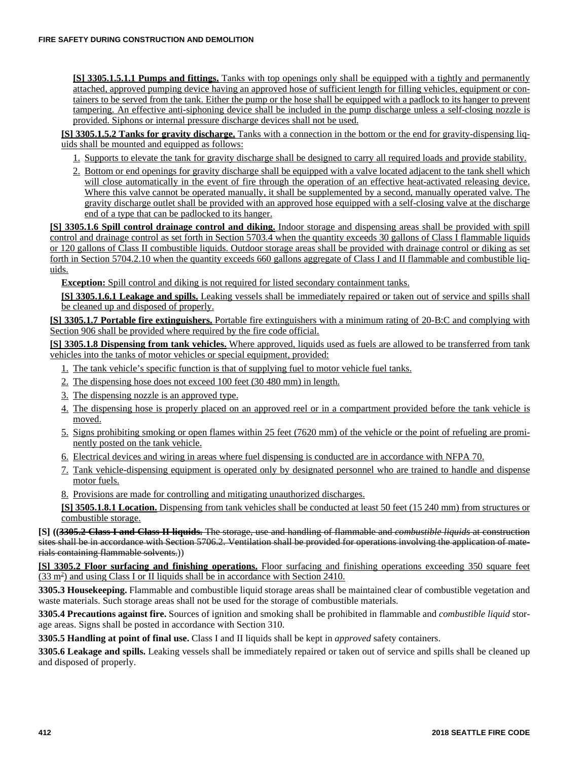**[S] 3305.1.5.1.1 Pumps and fittings.** Tanks with top openings only shall be equipped with a tightly and permanently attached, approved pumping device having an approved hose of sufficient length for filling vehicles, equipment or containers to be served from the tank. Either the pump or the hose shall be equipped with a padlock to its hanger to prevent tampering. An effective anti-siphoning device shall be included in the pump discharge unless a self-closing nozzle is provided. Siphons or internal pressure discharge devices shall not be used.

**[S] 3305.1.5.2 Tanks for gravity discharge.** Tanks with a connection in the bottom or the end for gravity-dispensing liquids shall be mounted and equipped as follows:

- 1. Supports to elevate the tank for gravity discharge shall be designed to carry all required loads and provide stability.
- 2. Bottom or end openings for gravity discharge shall be equipped with a valve located adjacent to the tank shell which will close automatically in the event of fire through the operation of an effective heat-activated releasing device. Where this valve cannot be operated manually, it shall be supplemented by a second, manually operated valve. The gravity discharge outlet shall be provided with an approved hose equipped with a self-closing valve at the discharge end of a type that can be padlocked to its hanger.

**[S] 3305.1.6 Spill control drainage control and diking.** Indoor storage and dispensing areas shall be provided with spill control and drainage control as set forth in Section 5703.4 when the quantity exceeds 30 gallons of Class I flammable liquids or 120 gallons of Class II combustible liquids. Outdoor storage areas shall be provided with drainage control or diking as set forth in Section 5704.2.10 when the quantity exceeds 660 gallons aggregate of Class I and II flammable and combustible liquids.

**Exception:** Spill control and diking is not required for listed secondary containment tanks.

**[S] 3305.1.6.1 Leakage and spills.** Leaking vessels shall be immediately repaired or taken out of service and spills shall be cleaned up and disposed of properly.

**[S] 3305.1.7 Portable fire extinguishers.** Portable fire extinguishers with a minimum rating of 20-B:C and complying with Section 906 shall be provided where required by the fire code official.

**[S] 3305.1.8 Dispensing from tank vehicles.** Where approved, liquids used as fuels are allowed to be transferred from tank vehicles into the tanks of motor vehicles or special equipment, provided:

- 1. The tank vehicle's specific function is that of supplying fuel to motor vehicle fuel tanks.
- 2. The dispensing hose does not exceed 100 feet (30 480 mm) in length.
- 3. The dispensing nozzle is an approved type.
- 4. The dispensing hose is properly placed on an approved reel or in a compartment provided before the tank vehicle is moved.
- 5. Signs prohibiting smoking or open flames within 25 feet (7620 mm) of the vehicle or the point of refueling are prominently posted on the tank vehicle.
- 6. Electrical devices and wiring in areas where fuel dispensing is conducted are in accordance with NFPA 70.
- 7. Tank vehicle-dispensing equipment is operated only by designated personnel who are trained to handle and dispense motor fuels.
- 8. Provisions are made for controlling and mitigating unauthorized discharges.

**[S] 3505.1.8.1 Location.** Dispensing from tank vehicles shall be conducted at least 50 feet (15 240 mm) from structures or combustible storage.

**[S] ((3305.2 Class I and Class II liquids.** The storage, use and handling of flammable and *combustible liquids* at construction sites shall be in accordance with Section 5706.2. Ventilation shall be provided for operations involving the application of materials containing flammable solvents.))

**[S] 3305.2 Floor surfacing and finishing operations.** Floor surfacing and finishing operations exceeding 350 square feet  $(33 \text{ m}^2)$  and using Class I or II liquids shall be in accordance with Section 2410.

**3305.3 Housekeeping.** Flammable and combustible liquid storage areas shall be maintained clear of combustible vegetation and waste materials. Such storage areas shall not be used for the storage of combustible materials.

**3305.4 Precautions against fire.** Sources of ignition and smoking shall be prohibited in flammable and *combustible liquid* storage areas. Signs shall be posted in accordance with Section 310.

**3305.5 Handling at point of final use.** Class I and II liquids shall be kept in *approved* safety containers.

**3305.6 Leakage and spills.** Leaking vessels shall be immediately repaired or taken out of service and spills shall be cleaned up and disposed of properly.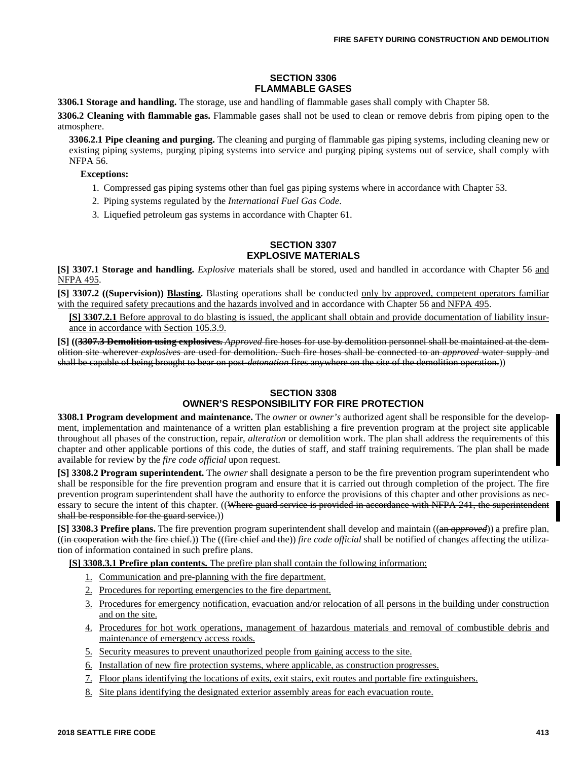## **SECTION 3306 FLAMMABLE GASES**

**3306.1 Storage and handling.** The storage, use and handling of flammable gases shall comply with Chapter 58.

**3306.2 Cleaning with flammable gas.** Flammable gases shall not be used to clean or remove debris from piping open to the atmosphere.

**3306.2.1 Pipe cleaning and purging.** The cleaning and purging of flammable gas piping systems, including cleaning new or existing piping systems, purging piping systems into service and purging piping systems out of service, shall comply with NFPA 56.

#### **Exceptions:**

- 1. Compressed gas piping systems other than fuel gas piping systems where in accordance with Chapter 53.
- 2. Piping systems regulated by the *International Fuel Gas Code*.
- 3. Liquefied petroleum gas systems in accordance with Chapter 61.

#### **SECTION 3307 EXPLOSIVE MATERIALS**

**[S] 3307.1 Storage and handling.** *Explosive* materials shall be stored, used and handled in accordance with Chapter 56 and NFPA 495.

**[S] 3307.2 ((Supervision)) Blasting.** Blasting operations shall be conducted only by approved, competent operators familiar with the required safety precautions and the hazards involved and in accordance with Chapter 56 and NFPA 495.

**[S] 3307.2.1** Before approval to do blasting is issued, the applicant shall obtain and provide documentation of liability insurance in accordance with Section 105.3.9.

**[S] ((3307.3 Demolition using explosives.** *Approved* fire hoses for use by demolition personnel shall be maintained at the demolition site wherever *explosives* are used for demolition. Such fire hoses shall be connected to an *approved* water supply and shall be capable of being brought to bear on post-*detonation* fires anywhere on the site of the demolition operation.))

### **SECTION 3308 OWNER'S RESPONSIBILITY FOR FIRE PROTECTION**

**3308.1 Program development and maintenance.** The *owner* or *owner's* authorized agent shall be responsible for the development, implementation and maintenance of a written plan establishing a fire prevention program at the project site applicable throughout all phases of the construction, repair, *alteration* or demolition work. The plan shall address the requirements of this chapter and other applicable portions of this code, the duties of staff, and staff training requirements. The plan shall be made available for review by the *fire code official* upon request.

**[S] 3308.2 Program superintendent.** The *owner* shall designate a person to be the fire prevention program superintendent who shall be responsible for the fire prevention program and ensure that it is carried out through completion of the project. The fire prevention program superintendent shall have the authority to enforce the provisions of this chapter and other provisions as necessary to secure the intent of this chapter. ((Where guard service is provided in accordance with NFPA 241, the superintendent shall be responsible for the guard service.)

**[S] 3308.3 Prefire plans.** The fire prevention program superintendent shall develop and maintain ((an *approved*)) a prefire plan. ((in cooperation with the fire chief.)) The ((fire chief and the)) *fire code official* shall be notified of changes affecting the utilization of information contained in such prefire plans.

**[S] 3308.3.1 Prefire plan contents.** The prefire plan shall contain the following information:

- 1. Communication and pre-planning with the fire department.
- 2. Procedures for reporting emergencies to the fire department.
- 3. Procedures for emergency notification, evacuation and/or relocation of all persons in the building under construction and on the site.
- 4. Procedures for hot work operations, management of hazardous materials and removal of combustible debris and maintenance of emergency access roads.
- 5. Security measures to prevent unauthorized people from gaining access to the site.
- 6. Installation of new fire protection systems, where applicable, as construction progresses.
- 7. Floor plans identifying the locations of exits, exit stairs, exit routes and portable fire extinguishers.
- 8. Site plans identifying the designated exterior assembly areas for each evacuation route.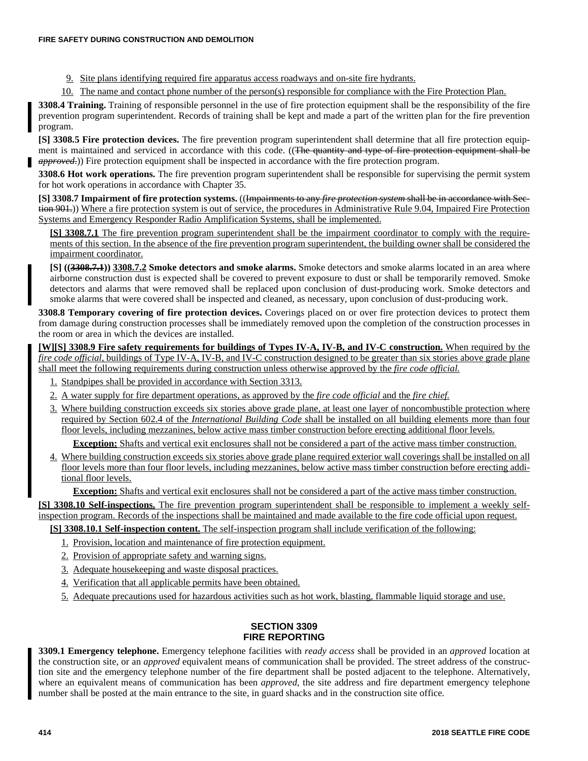9. Site plans identifying required fire apparatus access roadways and on-site fire hydrants.

10. The name and contact phone number of the person(s) responsible for compliance with the Fire Protection Plan.

**3308.4 Training.** Training of responsible personnel in the use of fire protection equipment shall be the responsibility of the fire prevention program superintendent. Records of training shall be kept and made a part of the written plan for the fire prevention program.

**[S] 3308.5 Fire protection devices.** The fire prevention program superintendent shall determine that all fire protection equipment is maintained and serviced in accordance with this code. ((The quantity and type of fire protection equipment shall be *approved*.)) Fire protection equipment shall be inspected in accordance with the fire protection program.

**3308.6 Hot work operations.** The fire prevention program superintendent shall be responsible for supervising the permit system for hot work operations in accordance with Chapter 35.

**[S] 3308.7 Impairment of fire protection systems.** ((Impairments to any *fire protection system* shall be in accordance with Section 901.)) Where a fire protection system is out of service, the procedures in Administrative Rule 9.04, Impaired Fire Protection Systems and Emergency Responder Radio Amplification Systems, shall be implemented.

**[S] 3308.7.1** The fire prevention program superintendent shall be the impairment coordinator to comply with the requirements of this section. In the absence of the fire prevention program superintendent, the building owner shall be considered the impairment coordinator.

**[S] ((3308.7.1)) 3308.7.2 Smoke detectors and smoke alarms.** Smoke detectors and smoke alarms located in an area where airborne construction dust is expected shall be covered to prevent exposure to dust or shall be temporarily removed. Smoke detectors and alarms that were removed shall be replaced upon conclusion of dust-producing work. Smoke detectors and smoke alarms that were covered shall be inspected and cleaned, as necessary, upon conclusion of dust-producing work.

**3308.8 Temporary covering of fire protection devices.** Coverings placed on or over fire protection devices to protect them from damage during construction processes shall be immediately removed upon the completion of the construction processes in the room or area in which the devices are installed.

**[W][S] 3308.9 Fire safety requirements for buildings of Types IV-A, IV-B, and IV-C construction.** When required by the *fire code official,* buildings of Type IV-A, IV-B, and IV-C construction designed to be greater than six stories above grade plane shall meet the following requirements during construction unless otherwise approved by the *fire code official.*

- 1. Standpipes shall be provided in accordance with Section 3313.
- 2. A water supply for fire department operations, as approved by the *fire code official* and the *fire chief.*
- 3. Where building construction exceeds six stories above grade plane, at least one layer of noncombustible protection where required by Section 602.4 of the *International Building Code* shall be installed on all building elements more than four floor levels, including mezzanines, below active mass timber construction before erecting additional floor levels.

**Exception:** Shafts and vertical exit enclosures shall not be considered a part of the active mass timber construction.

4. Where building construction exceeds six stories above grade plane required exterior wall coverings shall be installed on all floor levels more than four floor levels, including mezzanines, below active mass timber construction before erecting additional floor levels.

**Exception:** Shafts and vertical exit enclosures shall not be considered a part of the active mass timber construction.

**[S] 3308.10 Self-inspections.** The fire prevention program superintendent shall be responsible to implement a weekly selfinspection program. Records of the inspections shall be maintained and made available to the fire code official upon request.

**[S] 3308.10.1 Self-inspection content.** The self-inspection program shall include verification of the following:

- 1. Provision, location and maintenance of fire protection equipment.
- 2. Provision of appropriate safety and warning signs.
- 3. Adequate housekeeping and waste disposal practices.
- 4. Verification that all applicable permits have been obtained.
- 5. Adequate precautions used for hazardous activities such as hot work, blasting, flammable liquid storage and use.

## **SECTION 3309 FIRE REPORTING**

**3309.1 Emergency telephone.** Emergency telephone facilities with *ready access* shall be provided in an *approved* location at the construction site, or an *approved* equivalent means of communication shall be provided. The street address of the construction site and the emergency telephone number of the fire department shall be posted adjacent to the telephone. Alternatively, where an equivalent means of communication has been *approved*, the site address and fire department emergency telephone number shall be posted at the main entrance to the site, in guard shacks and in the construction site office.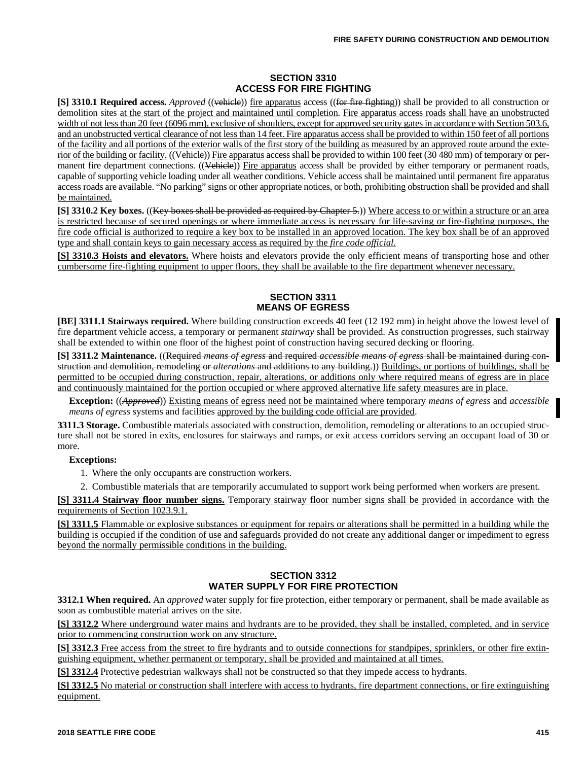### **SECTION 3310 ACCESS FOR FIRE FIGHTING**

**[S] 3310.1 Required access.** *Approved* ((vehicle)) fire apparatus access ((for fire fighting)) shall be provided to all construction or demolition sites at the start of the project and maintained until completion. Fire apparatus access roads shall have an unobstructed width of not less than 20 feet (6096 mm), exclusive of shoulders, except for approved security gates in accordance with Section 503.6, and an unobstructed vertical clearance of not less than 14 feet. Fire apparatus access shall be provided to within 150 feet of all portions of the facility and all portions of the exterior walls of the first story of the building as measured by an approved route around the exterior of the building or facility. ((Vehicle)) Fire apparatus access shall be provided to within 100 feet (30 480 mm) of temporary or permanent fire department connections. ((Vehicle)) Fire apparatus access shall be provided by either temporary or permanent roads, capable of supporting vehicle loading under all weather conditions. Vehicle access shall be maintained until permanent fire apparatus access roads are available. "No parking" signs or other appropriate notices, or both, prohibiting obstruction shall be provided and shall be maintained.

**[S] 3310.2 Key boxes.** ((Key boxes shall be provided as required by Chapter 5.)) Where access to or within a structure or an area is restricted because of secured openings or where immediate access is necessary for life-saving or fire-fighting purposes, the fire code official is authorized to require a key box to be installed in an approved location. The key box shall be of an approved type and shall contain keys to gain necessary access as required by the *fire code official.*

**[S] 3310.3 Hoists and elevators.** Where hoists and elevators provide the only efficient means of transporting hose and other cumbersome fire-fighting equipment to upper floors, they shall be available to the fire department whenever necessary.

#### **SECTION 3311 MEANS OF EGRESS**

**[BE] 3311.1 Stairways required.** Where building construction exceeds 40 feet (12 192 mm) in height above the lowest level of fire department vehicle access, a temporary or permanent *stairway* shall be provided. As construction progresses, such stairway shall be extended to within one floor of the highest point of construction having secured decking or flooring.

**[S] 3311.2 Maintenance.** ((Required *means of egress* and required *accessible means of egress* shall be maintained during construction and demolition, remodeling or *alterations* and additions to any building.)) Buildings, or portions of buildings, shall be permitted to be occupied during construction, repair, alterations, or additions only where required means of egress are in place and continuously maintained for the portion occupied or where approved alternative life safety measures are in place.

**Exception:** ((*Approved*)) Existing means of egress need not be maintained where temporary *means of egress* and *accessible means of egress* systems and facilities approved by the building code official are provided.

**3311.3 Storage.** Combustible materials associated with construction, demolition, remodeling or alterations to an occupied structure shall not be stored in exits, enclosures for stairways and ramps, or exit access corridors serving an occupant load of 30 or more.

### **Exceptions:**

1. Where the only occupants are construction workers.

2. Combustible materials that are temporarily accumulated to support work being performed when workers are present.

**[S] 3311.4 Stairway floor number signs.** Temporary stairway floor number signs shall be provided in accordance with the requirements of Section 1023.9.1.

**[S] 3311.5** Flammable or explosive substances or equipment for repairs or alterations shall be permitted in a building while the building is occupied if the condition of use and safeguards provided do not create any additional danger or impediment to egress beyond the normally permissible conditions in the building.

## **SECTION 3312 WATER SUPPLY FOR FIRE PROTECTION**

**3312.1 When required.** An *approved* water supply for fire protection, either temporary or permanent, shall be made available as soon as combustible material arrives on the site.

**[S] 3312.2** Where underground water mains and hydrants are to be provided, they shall be installed, completed, and in service prior to commencing construction work on any structure.

**[S] 3312.3** Free access from the street to fire hydrants and to outside connections for standpipes, sprinklers, or other fire extinguishing equipment, whether permanent or temporary, shall be provided and maintained at all times.

**[S] 3312.4** Protective pedestrian walkways shall not be constructed so that they impede access to hydrants.

**[S] 3312.5** No material or construction shall interfere with access to hydrants, fire department connections, or fire extinguishing equipment.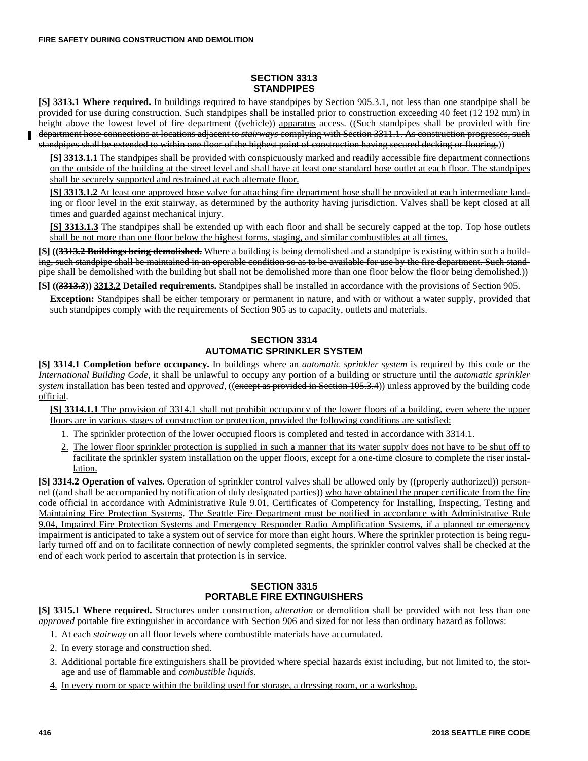#### **SECTION 3313 STANDPIPES**

**[S] 3313.1 Where required.** In buildings required to have standpipes by Section 905.3.1, not less than one standpipe shall be provided for use during construction. Such standpipes shall be installed prior to construction exceeding 40 feet (12 192 mm) in height above the lowest level of fire department  $((\text{wehiele}))$  apparatus access.  $((\text{Such-stand pipes shall be provided with fire})$ department hose connections at locations adjacent to *stairways* complying with Section 3311.1. As construction progresses, such standpipes shall be extended to within one floor of the highest point of construction having secured decking or flooring.))

**[S] 3313.1.1** The standpipes shall be provided with conspicuously marked and readily accessible fire department connections on the outside of the building at the street level and shall have at least one standard hose outlet at each floor. The standpipes shall be securely supported and restrained at each alternate floor.

**[S] 3313.1.2** At least one approved hose valve for attaching fire department hose shall be provided at each intermediate landing or floor level in the exit stairway, as determined by the authority having jurisdiction. Valves shall be kept closed at all times and guarded against mechanical injury.

**[S] 3313.1.3** The standpipes shall be extended up with each floor and shall be securely capped at the top. Top hose outlets shall be not more than one floor below the highest forms, staging, and similar combustibles at all times.

**[S] ((3313.2 Buildings being demolished.** Where a building is being demolished and a standpipe is existing within such a building, such standpipe shall be maintained in an operable condition so as to be available for use by the fire department. Such standpipe shall be demolished with the building but shall not be demolished more than one floor below the floor being demolished.))

**[S] ((3313.3)) 3313.2 Detailed requirements.** Standpipes shall be installed in accordance with the provisions of Section 905.

**Exception:** Standpipes shall be either temporary or permanent in nature, and with or without a water supply, provided that such standpipes comply with the requirements of Section 905 as to capacity, outlets and materials.

#### **SECTION 3314 AUTOMATIC SPRINKLER SYSTEM**

**[S] 3314.1 Completion before occupancy.** In buildings where an *automatic sprinkler system* is required by this code or the *International Building Code*, it shall be unlawful to occupy any portion of a building or structure until the *automatic sprinkler system* installation has been tested and *approved,* ((except as provided in Section 105.3.4)) unless approved by the building code official.

**[S] 3314.1.1** The provision of 3314.1 shall not prohibit occupancy of the lower floors of a building, even where the upper floors are in various stages of construction or protection, provided the following conditions are satisfied:

- 1. The sprinkler protection of the lower occupied floors is completed and tested in accordance with 3314.1.
- 2. The lower floor sprinkler protection is supplied in such a manner that its water supply does not have to be shut off to facilitate the sprinkler system installation on the upper floors, except for a one-time closure to complete the riser installation.

**[S] 3314.2 Operation of valves.** Operation of sprinkler control valves shall be allowed only by ((properly authorized)) personnel ((and shall be accompanied by notification of duly designated parties)) who have obtained the proper certificate from the fire code official in accordance with Administrative Rule 9.01, Certificates of Competency for Installing, Inspecting, Testing and Maintaining Fire Protection Systems. The Seattle Fire Department must be notified in accordance with Administrative Rule 9.04, Impaired Fire Protection Systems and Emergency Responder Radio Amplification Systems, if a planned or emergency impairment is anticipated to take a system out of service for more than eight hours. Where the sprinkler protection is being regularly turned off and on to facilitate connection of newly completed segments, the sprinkler control valves shall be checked at the end of each work period to ascertain that protection is in service.

## **SECTION 3315 PORTABLE FIRE EXTINGUISHERS**

**[S] 3315.1 Where required.** Structures under construction, *alteration* or demolition shall be provided with not less than one *approved* portable fire extinguisher in accordance with Section 906 and sized for not less than ordinary hazard as follows:

- 1. At each *stairway* on all floor levels where combustible materials have accumulated.
- 2. In every storage and construction shed.
- 3. Additional portable fire extinguishers shall be provided where special hazards exist including, but not limited to, the storage and use of flammable and *combustible liquids*.
- 4. In every room or space within the building used for storage, a dressing room, or a workshop.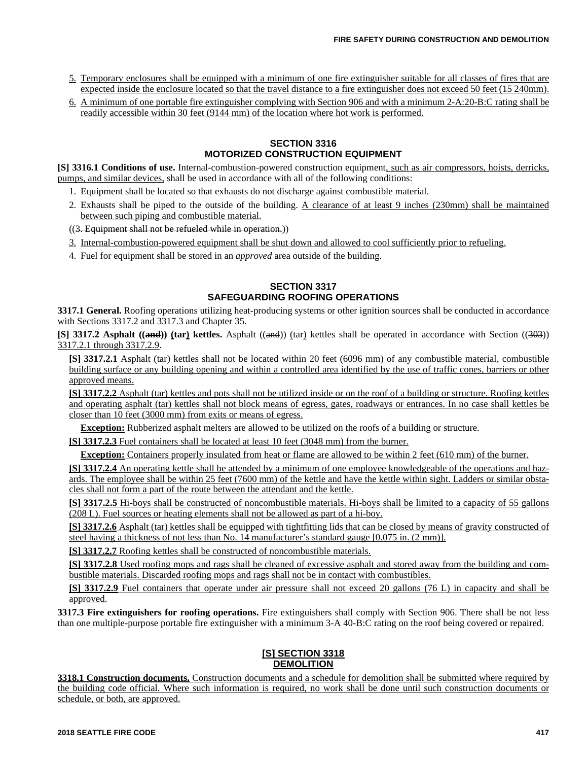- 5. Temporary enclosures shall be equipped with a minimum of one fire extinguisher suitable for all classes of fires that are expected inside the enclosure located so that the travel distance to a fire extinguisher does not exceed 50 feet (15 240mm).
- 6. A minimum of one portable fire extinguisher complying with Section 906 and with a minimum 2-A:20-B:C rating shall be readily accessible within 30 feet (9144 mm) of the location where hot work is performed.

#### **SECTION 3316 MOTORIZED CONSTRUCTION EQUIPMENT**

**[S] 3316.1 Conditions of use.** Internal-combustion-powered construction equipment, such as air compressors, hoists, derricks, pumps, and similar devices, shall be used in accordance with all of the following conditions:

- 1. Equipment shall be located so that exhausts do not discharge against combustible material.
- 2. Exhausts shall be piped to the outside of the building. A clearance of at least 9 inches (230mm) shall be maintained between such piping and combustible material.

((3. Equipment shall not be refueled while in operation.))

- 3. Internal-combustion-powered equipment shall be shut down and allowed to cool sufficiently prior to refueling.
- 4. Fuel for equipment shall be stored in an *approved* area outside of the building.

## **SECTION 3317 SAFEGUARDING ROOFING OPERATIONS**

**3317.1 General.** Roofing operations utilizing heat-producing systems or other ignition sources shall be conducted in accordance with Sections 3317.2 and 3317.3 and Chapter 35.

**[S] 3317.2 Asphalt ((and)) (tar) kettles.** Asphalt ((and)) (tar) kettles shall be operated in accordance with Section ((303)) 3317.2.1 through 3317.2.9.

**[S] 3317.2.1** Asphalt (tar) kettles shall not be located within 20 feet (6096 mm) of any combustible material, combustible building surface or any building opening and within a controlled area identified by the use of traffic cones, barriers or other approved means.

**[S] 3317.2.2** Asphalt (tar) kettles and pots shall not be utilized inside or on the roof of a building or structure. Roofing kettles and operating asphalt (tar) kettles shall not block means of egress, gates, roadways or entrances. In no case shall kettles be closer than 10 feet (3000 mm) from exits or means of egress.

**Exception:** Rubberized asphalt melters are allowed to be utilized on the roofs of a building or structure.

**[S] 3317.2.3** Fuel containers shall be located at least 10 feet (3048 mm) from the burner.

**Exception:** Containers properly insulated from heat or flame are allowed to be within 2 feet (610 mm) of the burner.

**[S] 3317.2.4** An operating kettle shall be attended by a minimum of one employee knowledgeable of the operations and hazards. The employee shall be within 25 feet (7600 mm) of the kettle and have the kettle within sight. Ladders or similar obstacles shall not form a part of the route between the attendant and the kettle.

**[S] 3317.2.5** Hi-boys shall be constructed of noncombustible materials. Hi-boys shall be limited to a capacity of 55 gallons (208 L). Fuel sources or heating elements shall not be allowed as part of a hi-boy.

**[S] 3317.2.6** Asphalt (tar) kettles shall be equipped with tightfitting lids that can be closed by means of gravity constructed of steel having a thickness of not less than No. 14 manufacturer's standard gauge [0.075 in. (2 mm)].

**[S] 3317.2.7** Roofing kettles shall be constructed of noncombustible materials.

**[S] 3317.2.8** Used roofing mops and rags shall be cleaned of excessive asphalt and stored away from the building and combustible materials. Discarded roofing mops and rags shall not be in contact with combustibles.

**[S] 3317.2.9** Fuel containers that operate under air pressure shall not exceed 20 gallons (76 L) in capacity and shall be approved.

**3317.3 Fire extinguishers for roofing operations.** Fire extinguishers shall comply with Section 906. There shall be not less than one multiple-purpose portable fire extinguisher with a minimum 3-A 40-B:C rating on the roof being covered or repaired.

#### **[S] SECTION 3318 DEMOLITION**

**3318.1 Construction documents.** Construction documents and a schedule for demolition shall be submitted where required by the building code official. Where such information is required, no work shall be done until such construction documents or schedule, or both, are approved.